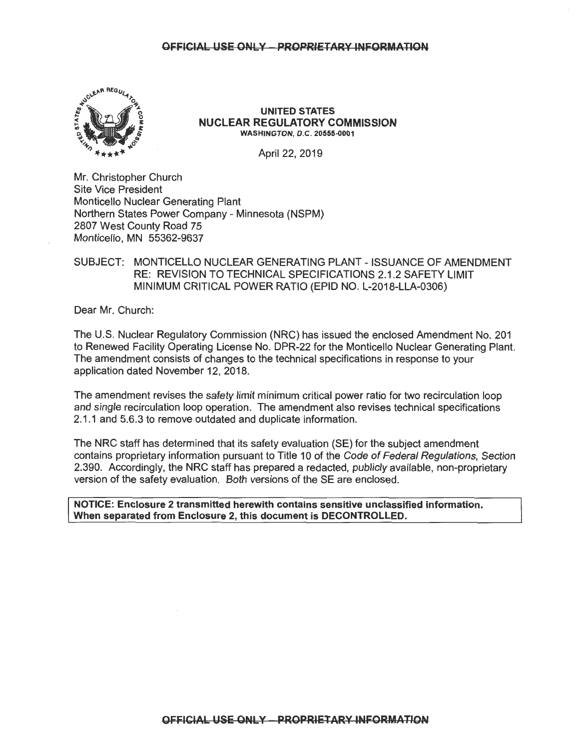

#### **UNITED STATES NUCLEAR REGULATORY COMMISSION WASHINGTON, D.C. 20555-0001**

April 22, 2019

Mr. Christopher Church Site Vice President Monticello Nuclear Generating Plant Northern States Power Company - Minnesota (NSPM) 2807 West County Road 75 Monticello, MN 55362-9637

## SUBJECT: MONTICELLO NUCLEAR GENERATING PLANT- ISSUANCE OF AMENDMENT RE: REVISION TO TECHNICAL SPECIFICATIONS 2.1.2 SAFETY LIMIT MINIMUM CRITICAL POWER RATIO (EPID NO. L-2018-LLA-0306)

Dear Mr. Church:

The U.S. Nuclear Regulatory Commission (NRC) has issued the enclosed Amendment No. 201 to Renewed Facility Operating License No. DPR-22 for the Monticello Nuclear Generating Plant. The amendment consists of changes to the technical specifications in response to your application dated November 12, 2018.

The amendment revises the safety limit minimum critical power ratio for two recirculation loop and single recirculation loop operation. The amendment also revises technical specifications 2.1 .1 and 5.6.3 to remove outdated and duplicate information.

The NRC staff has determined that its safety evaluation (SE) for the subject amendment contains proprietary information pursuant to Title 10 of the Code of Federal Regulations, Section 2.390. Accordingly, the NRC staff has prepared a redacted, publicly available, non-proprietary version of the safety evaluation. Both versions of the SE are enclosed.

**NOTICE: Enclosure 2 transmitted herewith contains sensitive unclassified information. When separated from Enclosure 2, this document is DECONTROLLED.**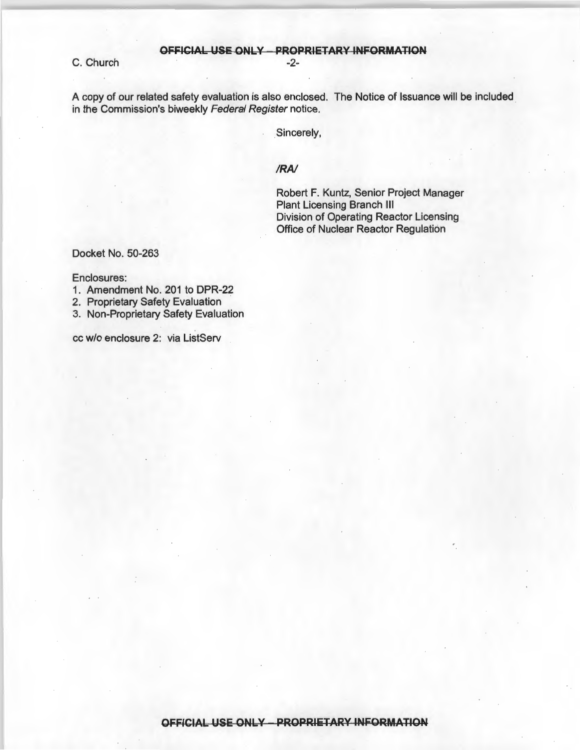C. Church

A copy of our related safety evaluation is also enclosed. The Notice of Issuance will be included in the Commission's biweekly Federal Register notice.

Sincerely,

## *IRA/*

Robert F. Kuntz, Senior Project Manager Plant Licensing Branch Ill Division of Operating Reactor Licensing Office of Nuclear Reactor Regulation

Docket No. 50-263

### Enclosures:

1. Amendment No. 201 to DPR-22

2. Proprietary Safety Evaluation

3. Non-Proprietary Safety Evaluation

cc w/o enclosure 2: via ListServ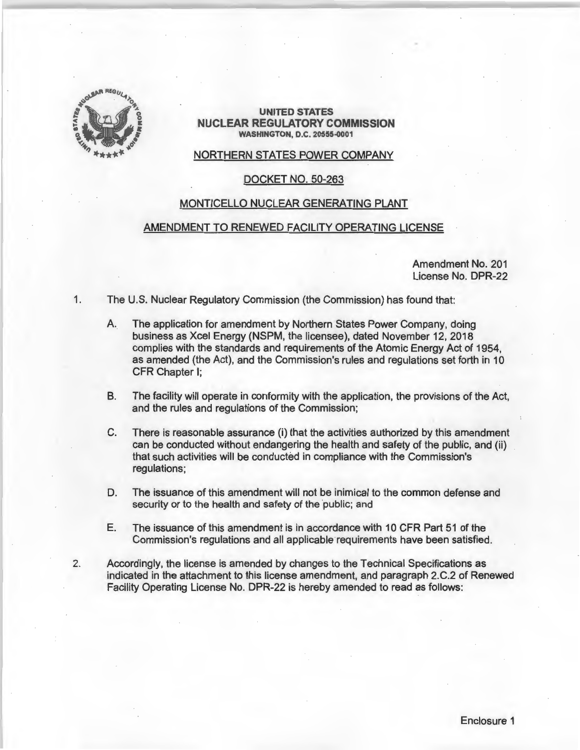

#### **UNITED STATES NUCLEAR REGULATORY COMMISSION WASHINGTON, O.C. 20555-0001**

## NORTHERN STATES POWER COMPANY

## DOCKET NO. 50-263

## MONTICELLO NUCLEAR GENERATING PLANT

## AMENDMENT TO RENEWED FACILITY OPERATING LICENSE

Amendment No. 201 License No. DPR-22

1. The U.S. Nuclear Regulatory Commission (the Commission) has found that:

- A. The application for amendment by Northern States Power Company, doing business as Xcel Energy (NSPM, the licensee), dated November 12, 2018 complies with the standards and requirements of the Atomic Energy Act of 1954, as amended (the Act), and the Commission's rules and regulations set forth in 10 CFR Chapter I;
- B. The facility will operate in conformity with the application, the provisions of the Act, and the rules and regulations of the Commission;
- C. There is reasonable assurance (i) that the activities authorized by this amendment can be conducted without endangering the health and safety of the public, and (ii) that such activities will be conducted in compliance with the Commission's regulations;
- D. The issuance of this amendment will not be inimical to the common defense and security or to the health and safety of the public; and
- E. The issuance of this amendment is in accordance with 10 CFR Part 51 of the Commission's regulations and all applicable requirements have been satisfied.
- 2. Accordingly, the license is amended by changes to the Technical Specifications as indicated in the attachment to this license amendment, and paragraph 2.C.2 of Renewed Facility Operating License No. DPR-22 is hereby amended to read as follows: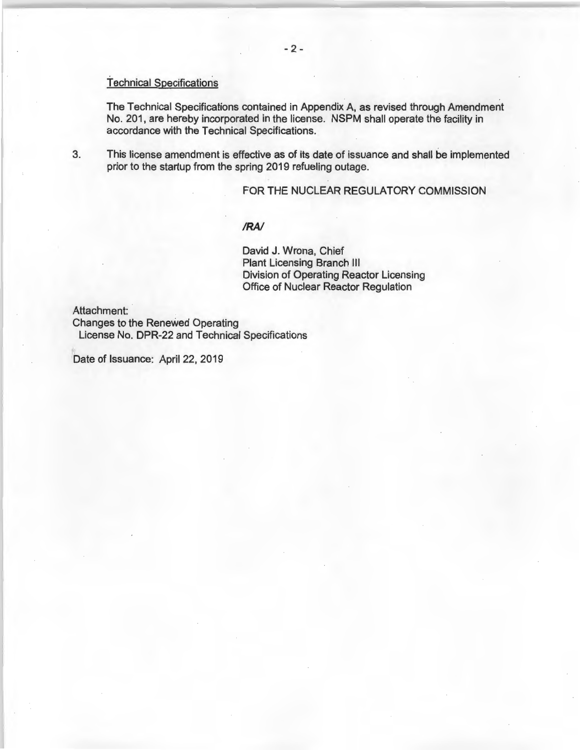### Technical Specifications

The Technical Specifications contained in Appendix A, as revised through Amendment No. 201, are hereby incorporated in the license. NSPM shall operate the facility in accordance with the Technical Specifications.

3. This license amendment is effective as of its date of issuance and shall be implemented prior to the startup from the spring 2019 refueling outage.

FOR THE NUCLEAR REGULATORY COMMISSION

#### *IRA/*

David J. Wrona, Chief Plant Licensing Branch Ill Division of Operating Reactor Licensing Office of Nuclear Reactor Regulation

Attachment:

Changes to the Renewed Operating License No. DPR-22 and Technical Specifications

Date of Issuance: April 22, 2019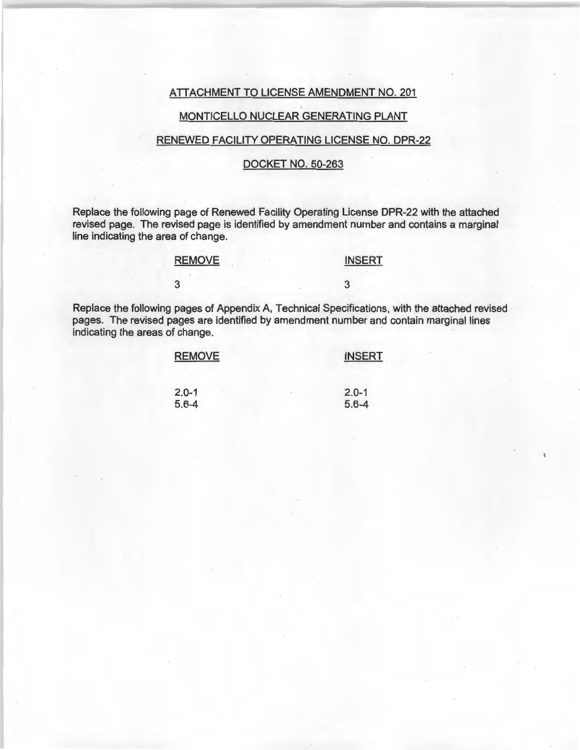## ATTACHMENT TO LICENSE AMENDMENT NO. 201

## MONTICELLO NUCLEAR GENERATING PLANT

### RENEWED FACILITY OPERATING LICENSE NO. DPR-22

## DOCKET NO. 50-263

Replace the following page of Renewed Facility Operating License DPR-22 with the attached revised page. The revised page is identified by amendment number and contains a marginal line indicating the area of change.

#### REMOVE

### INSERT

3

3

Replace the following pages of Appendix A, Technical Specifications, with the attached revised pages. The revised pages are identified by amendment number and contain marginal lines indicating the areas of change.

| <b>REMOVE</b> | <b>INSERT</b>       |
|---------------|---------------------|
| $2.0 - 1$     | $2.0 - 1$<br>$\sim$ |
| $5.6 - 4$     | $5.6 - 4$           |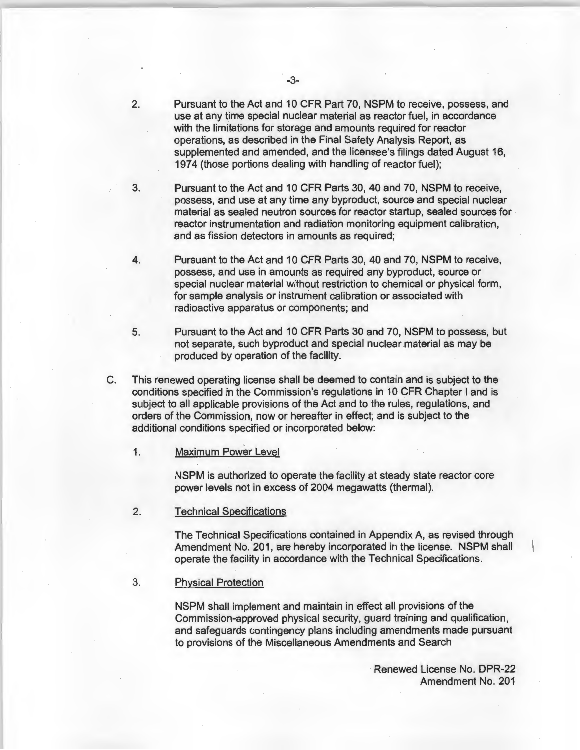- 2. Pursuant to the Act and 10 CFR Part 70, NSPM to receive, possess, and use at any time special nuclear material as reactor fuel, in accordance with the limitations for storage and amounts required for reactor operations, as described in the Final Safety Analysis Report, as supplemented and amended, and the licensee's filings dated August 16, 1974 (those portions dealing with handling of reactor fuel);
- 3. Pursuant to the Act and 10 CFR Parts 30, 40 and 70, NSPM to receive, possess, and use at any time any byproduct, source and special nuclear material as sealed neutron sources for reactor startup, sealed sources for reactor instrumentation and radiation monitoring equipment calibration, and as fission detectors in amounts as required;
- 4. Pursuant to the Act and 10 CFR Parts 30, 40 and 70, NSPM to receive, possess, and use in amounts as required any byproduct, source or special nuclear material without restriction to chemical or physical form, for sample analysis or instrument calibration or associated with radioactive apparatus or components; and
- 5. Pursuant to the Act and 10 CFR Parts 30 and 70, NSPM to possess, but not separate, such byproduct and special nuclear material as may be produced by operation of the facility.
- C. This renewed operating license shall be deemed to contain and is subject to the conditions specified in the Commission's regulations in 10 CFR Chapter I and is subject to all applicable provisions of the Act and to the rules, regulations, and orders of the Commission, now or hereafter in effect; and is subject to the additional conditions specified or incorporated below:
	- 1. Maximum Power Level

NSPM is authorized to operate the facility at steady state reactor core power levels not in excess of 2004 megawatts (thermal).

2. Technical Specifications

The Technical Specifications contained in Appendix A, as revised through Amendment No. 201, are hereby incorporated in the license. NSPM shall operate the facility in accordance with the Technical Specifications.

3. Physical Protection

> NSPM shall implement and maintain in effect all provisions of the Commission-approved physical security, guard training and qualification, and safeguards contingency plans including amendments made pursuant to provisions of the Miscellaneous Amendments and Search

> > · Renewed License No. DPR-22 Amendment No. 201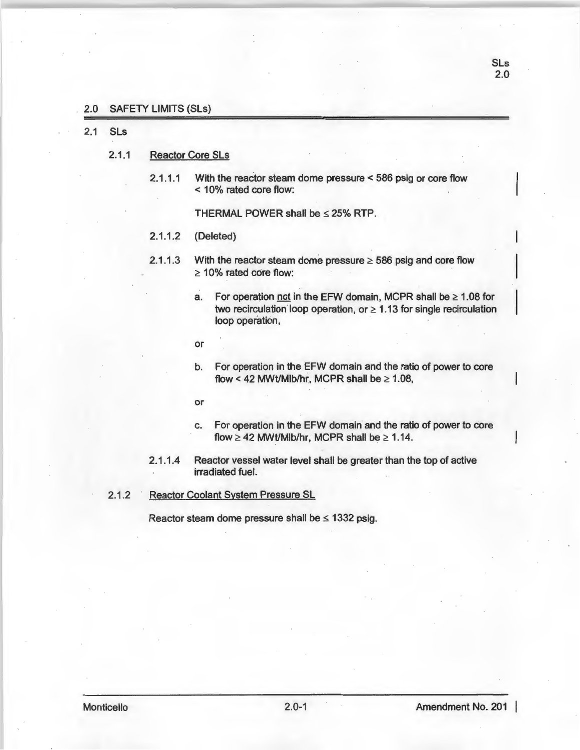#### 2.0 SAFETY LIMITS (SLs)

2.1 SLs

- 2.1.1 Reactor Core SLs
	- 2.1.1.1 With the reactor steam dome pressure < 586 psig or core flow < 10% rated core flow:

THERMAL POWER shall be  $\leq$  25% RTP.

2.1.1.2 (Deleted)

- 2.1.1.3 With the reactor steam dome pressure  $\geq$  586 psig and core flow  $\geq$  10% rated core flow:
	- a. For operation not in the EFW domain, MCPR shall be  $\geq 1.08$  for two recirculation loop operation, or  $\geq 1.13$  for single recirculation loop operation,
	- or
	- b. For operation in the EFW domain and the ratio of power to core flow < 42 MWt/Mlb/hr, MCPR shall be  $\geq 1.08$ ,
	- or
	- c. For operation in the EFW domain and the ratio of power to core flow  $\geq$  42 MWt/Mlb/hr, MCPR shall be  $\geq$  1.14.
- 2.1.1.4 Reactor vessel water level shall be greater than the top of active irradiated fuel.
- 2.1.2 Reactor Coolant System Pressure SL

Reactor steam dome pressure shall be  $\leq$  1332 psig.

SLs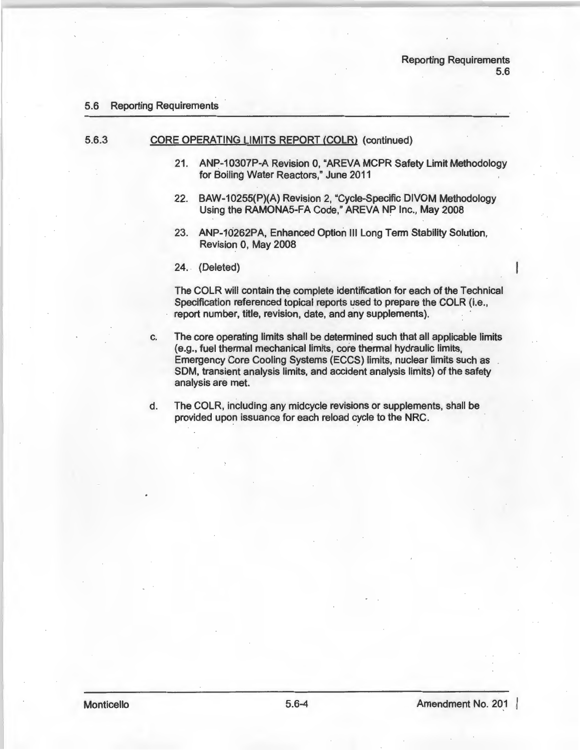#### 5.6 Reporting Requirements

#### 5.6.3 CORE OPERATING LIMITS REPORT (COLR) (continued)

- 21. ANP-10307P-A Revision 0, "AREVA MCPR Safety Limit Methodology for Boiling Water Reactors," June 2011
- 22. BAW-10255(P)(A) Revision 2, "Cycle-Specific DIVOM Methodology Using the RAMONA5-FA Code," AREVA NP Inc., May 2008
- 23. ANP-10262PA, Enhanced Option Ill Long Term Stability Solution, Revision 0, May 2008

24. (Deleted)

The COLR will contain the complete identification for each of the Technical Specification referenced topical reports used to prepare the COLR (i.e., report number, title, revision, date, and any supplements).

- c. The core operating limits shall be determined such that all applicable limits (e.g., fuel thermal mechanical limits, core thermal hydraulic limits, Emergency Core Cooling Systems (ECCS) limits, nuclear limits such as SOM, transient analysis limits, and accident analysis limits) of the safety analysis are met.
- d. The COLR, including any midcycle revisions or supplements, shall be provided upon issuance for each reload cycle to the NRC.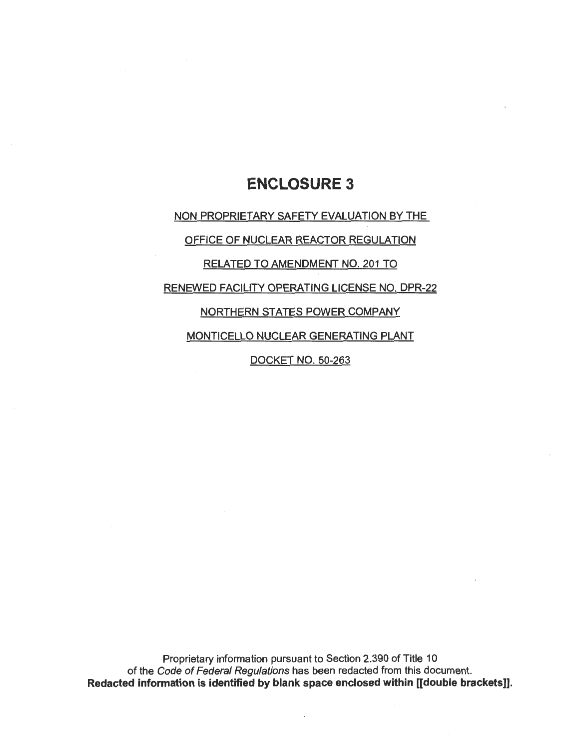# **ENCLOSURE 3**

## NON PROPRIETARY SAFETY EVALUATION BY THE

OFFICE OF NUCLEAR REACTOR REGULATION

RELATED TO AMENDMENT NO. 201 TO

RENEWED FACILITY OPERATING LICENSE NO. DPR-22

NORTHERN STATES POWER COMPANY

MONTICELLO NUCLEAR GENERATING PLANT

DOCKET NO. 50-263

Proprietary information pursuant to Section 2.390 of Title 10 of the Code of Federal Regulations has been redacted from this document. **Redacted information is identified by blank space enclosed within [[double brackets]].**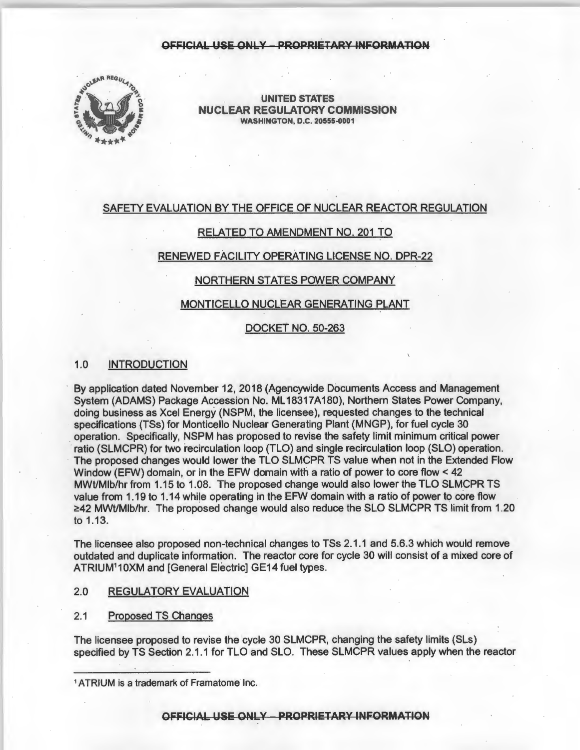

**UNITED STATES NUCLEAR REGULATORY COMMISSION WASHINGTON, D.C. 20555-0001** 

### SAFETY EVALUATION BY THE OFFICE OF NUCLEAR REACTOR REGULATION

#### RELATED TO AMENDMENT NO. 201 TO

#### RENEWED FACILITY OPERATING LICENSE NO. DPR-22

## NORTHERN STATES POWER COMPANY

#### MONTICELLO NUCLEAR GENERATING PLANT

## DOCKET NO. 50-263

#### 1.0 INTRODUCTION

By application dated November 12, 2018 (Agencywide Documents Access and Management System (ADAMS) Package Accession No. ML 18317A180), Northern States Power Company, doing business as Xcel Energy (NSPM, the licensee), requested changes to the technical specifications (TSs) for Monticello Nuclear Generating Plant (MNGP), for fuel cycle 30 operation. Specifically, NSPM has proposed to revise the safety limit minimum critical power ratio (SLMCPR) for two recirculation loop {TLO) and single recirculation loop (SLO) operation. The proposed changes would lower the TLO SLMCPR TS value when not in the Extended Flow Window (EFW) domain, or in the EFW domain with a ratio of power to core flow < 42 MWt/Mlb/hr from 1.15 to 1.08. The proposed change would also lower the TLO SLMCPR TS value from 1.19 to 1.14 while operating in the EFW domain with a ratio of power to core flow ≥42 MWt/Mlb/hr. The proposed change would also reduce the SLO SLMCPR TS limit from 1.20 to 1.13.

The licensee also proposed non-technical changes to TSs 2.1.1 and 5.6.3 which would remove outdated and duplicate information. The reactor core for cycle 30 will consist of a mixed core of ATRIUM<sup>1</sup>10XM and [General Electric] GE14 fuel types.

#### 2.0 REGULATORY EVALUATION

2.1 Proposed TS Changes

The licensee proposed to revise the cycle 30 SLMCPR, changing the safety limits (SLs) specified by TS Section 2.1.1 for TLO and SLO. These SLMCPR values apply when the reactor

**OFFICIAL USE ONLY PROPRIETARY INFORMATION** 

<sup>1</sup>ATRIUM is a trademark of Framatome Inc.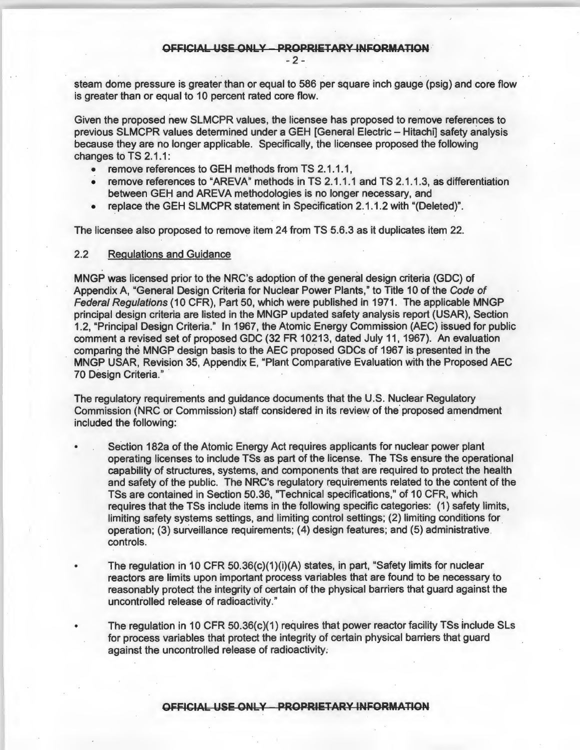steam dome pressure is greater than or equal to 586 per square inch gauge (psig) and core flow is greater than or equal to 10 percent rated core flow.

Given the proposed new SLMCPR values, the licensee has proposed to remove references to previous SLMCPR values determined under a GEH [General Electric - Hitachi] safety analysis because they are no longer applicable. Specifically, the licensee proposed the following changes to TS 2.1.1:

- remove references to GEH methods from TS 2.1.1.1,
- remove references to "AREVA" methods in TS 2.1.1.1 and TS 2.1.1.3, as differentiation between GEH and AREVA methodologies is no longer necessary, and
- replace the GEH SLMCPR statement in Specification 2.1.1.2 with "(Deleted)".

The licensee also proposed to remove item 24 from TS 5.6.3 as it duplicates item 22.

#### 2.2 Regulations and Guidance

MNGP was licensed prior to the NRC's adoption of the general design criteria (GDC) of Appendix A, "General Design Criteria for Nuclear Power Plants," to Title 10 of the Code of Federal Regulations (10 CFR), Part 50, which were published in 1971. The applicable MNGP principal design criteria are listed in the MNGP updated safety analysis report (USAR), Section 1.2, "Principal Design Criteria." In 1967, the Atomic Energy Commission (AEC) issued for public comment a revised set of proposed GDC (32 FR 10213, dated July 11, 1967). An evaluation comparing the MNGP design basis to the AEC proposed GDCs of 1967 is presented in the MNGP USAR, Revision 35, Appendix E, "Plant Comparative Evaluation with the Proposed AEC 70 Design Criteria."

The regulatory requirements and guidance documents that the U.S. Nuclear Regulatory Commission (NRC or Commission) staff considered in its review of the proposed amendment included the following:

- Section 182a of the Atomic Energy Act requires applicants for nuclear power plant operating licenses to include TSs as part of the license. The TSs ensure the operational capability of structures, systems, and components that are required to protect the health and safety of the public. The NRC's regulatory requirements related to the content of the TSs are contained in Section 50.36, "Technical specifications," of 10 CFR, which requires that the TSs include items in the following specific categories: (1) safety limits, limiting safety systems settings, and limiting control settings; (2) limiting conditions for operation; (3) surveillance requirements; (4) design features; and (5) administrative controls.
- The regulation in 10 CFR 50.36(c)(1)(i)(A) states, in part, "Safety limits for nuclear reactors are limits upon important process variables that are found to be necessary to reasonably protect the integrity of certain of the physical barriers that guard against the uncontrolled release of radioactivity."
- The regulation in 10 CFR  $50.36(c)(1)$  requires that power reactor facility TSs include SLs for process variables that protect the integrity of certain physical barriers that guard against the uncontrolled release of radioactivity.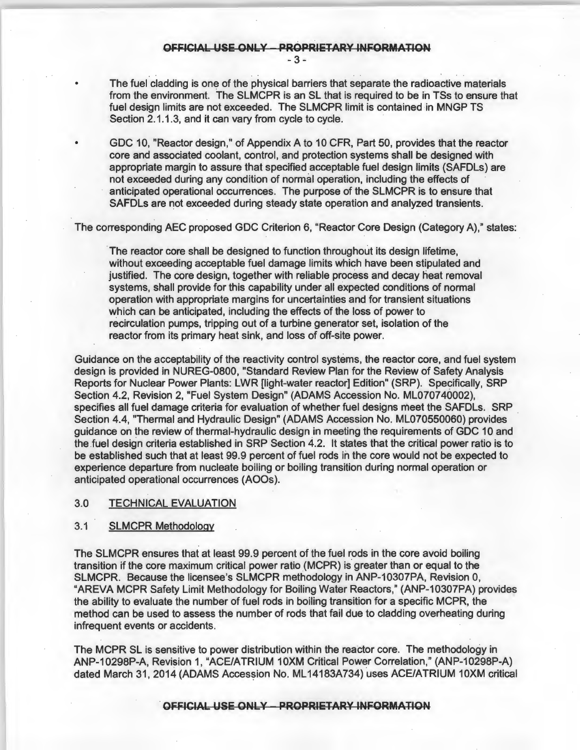- The fuel cladding is one of the physical barriers that separate the radioactive materials from the environment. The SLMCPR is an SL that is required to be in TSs to ensure that fuel design limits are not exceeded. The SLMCPR limit is contained in MNGP TS Section 2.1.1.3, and it can vary from cycle to cycle.
- GDC 10, "Reactor design," of Appendix A to 10 CFR, Part 50, provides that the reactor core and associated coolant, control, and protection systems shall be designed with appropriate margin to assure that specified acceptable fuel design limits (SAFDLs) are not exceeded during any condition of normal operation, including the effects of · anticipated operational occurrences. The purpose of the SLMCPR is to ensure that SAFDLs are not exceeded during steady state operation and analyzed transients.

The corresponding AEC proposed GDC Criterion 6, "Reactor Core Design (Category A)," states:

The reactor core shall be designed to function throughout its design lifetime, without exceeding acceptable fuel damage limits which have been stipulated and justified. The core design, together with reliable process and decay heat removal systems, shall provide for this capability under all expected conditions of normal operation with appropriate margins for uncertainties and for transient situations which can be anticipated, including the effects of the loss of power to recirculation pumps, tripping out of a turbine generator set, isolation of the reactor from its primary heat sink, and loss of off-site power.

Guidance on the acceptability of the reactivity control systems, the reactor core, and fuel system design is provided in NUREG-0800, "Standard Review Plan for the Review of Safety Analysis Reports for Nuclear Power Plants: LWR (light-water reactor] Edition" (SRP). Specifically, SRP Section 4.2, Revision 2, "Fuel System Design" (ADAMS Accession No. ML0707 40002), specifies all fuel damage criteria for evaluation of whether fuel designs meet the SAFDLs. SRP Section 4.4, "Thermal and Hydraulic Design" (ADAMS Accession No. ML070550060) provides guidance on the review of thermal-hydraulic design in meeting the requirements of GDC 10 and the fuel design criteria established in SRP Section 4.2. It states that the critical power ratio is to be established such that at least 99.9 percent of fuel rods in the core would not be expected to experience departure from nucleate boiling or boiling transition during normal operation or anticipated operational occurrences (AOOs ).

#### 3.0 TECHNICAL EVALUATION

#### 3.1 SLMCPR Methodology

The SLMCPR ensures that at least 99.9 percent of the fuel rods in the core avoid boiling transition if the core maximum critical power ratio (MCPR) is greater than or equal to the SLMCPR. Because the licensee's SLMCPR methodology in ANP-10307PA, Revision 0, "AREVA MCPR Safety Limit Methodology for Boiling Water Reactors," (ANP-10307PA) provides the ability to evaluate the number of fuel rods in boiling transition for a specific MCPR, the method can be used to assess the number of rods that fail due to cladding overheating during infrequent events or accidents.

The MCPR SL is sensitive to power distribution within the reactor core. The methodology in ANP-10298P-A, Revision 1, "ACE/ATRIUM 10XM Critical Power Correlation," (ANP-10298P-A) dated March 31, 2014 (ADAMS Accession No. ML 14183A734) uses ACE/ATRIUM 10XM critical

**OFFICIAL USE ONLY - PROPRIETARY INFORMATION**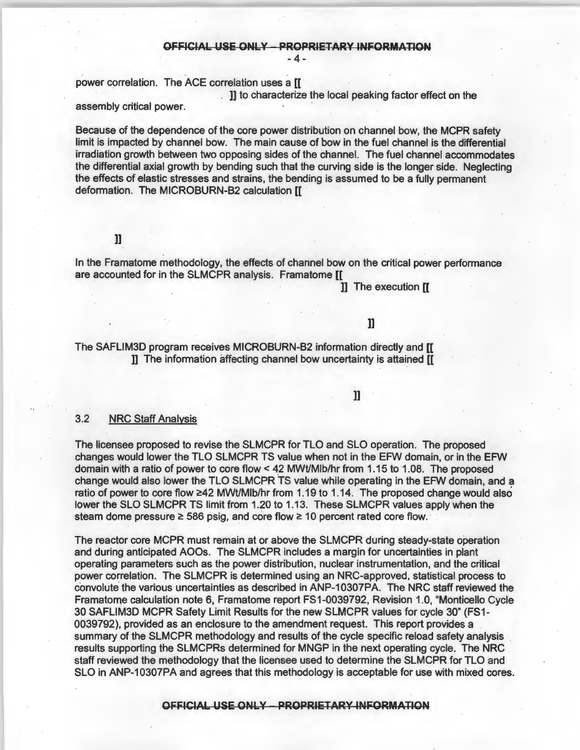power correlation. The ACE correlation uses a [[

. **11** to characterize the local peaking factor effect on the

assembly critical power.

Because of the dependence of the core power distribution on channel bow, the MCPR safety limit is impacted by channel bow. The main cause of bow in the fuel channel is the differential irradiation growth between two opposing sides of the channel. The fuel channel accommodates the differential axial growth by bending such that the curving side is the longer side. Neglecting the effects of elastic stresses and strains, the bending is assumed to be a fully permanent deformation. The MICROBURN-B2 calculation [[

## 11

In the Framatome methodology, the effects of channel bow on the critical power performance are accounted for in the SLMCPR analysis. Framatome [(

**<sup>11</sup>**The execution [[

## 11

The SAFLIM3D program receives MICROBURN-B2 information directly and [[ ]] The information affecting channel bow uncertainty is attained [(

## 11

## 3.2 NRC Staff Analysis

The licensee proposed to revise the SLMCPR for TLO and SLO operation. The proposed changes would lower the TLO SLMCPR TS value when not in the EFW domain, or in the EFW domain with a ratio of power to core flow < 42 MWt/Mlb/hr from 1.15 to 1.08. The proposed change would also lower the TLO SLMCPR TS value while operating in the EFW domain, and a ratio of power to core flow  $\geq 42$  MWt/Mlb/hr from 1.19 to 1.14. The proposed change would also lower the SLO SLMCPR TS limit from 1.20 to 1.13. These SLMCPR values apply when the steam dome pressure  $\geq 586$  psig, and core flow  $\geq 10$  percent rated core flow.

The reactor core MCPR must remain at or above the SLMCPR during steady-state operation and during anticipated AOOs. The SLMCPR includes a margin for uncertainties in plant operating parameters such as the power distribution, nuclear instrumentation, and the critical power correlation. The SLMCPR is determined using an NRC-approved, statistical process to convolute the various uncertainties as described in ANP-10307PA. The NRC staff reviewed the Framatome calculation note 6, Framatome report FS1-0039792, Revision 1.0, "Monticello Cycle 30 SAFLIM3D MCPR Safety Limit Results for the new SLMCPR values for cycle 30" (FS 1- 0039792), provided as an enclosure to the amendment request. This report provides a summary of the SLMCPR methodology and results of the cycle specific reload safety analysis results supporting the SLMCPRs determined for MNGP in the next operating cycle. The NRC staff reviewed the methodology that the licensee used to determine the SLMCPR for TLO and SLO in ANP-10307PA and agrees that this methodology is acceptable for use with mixed cores.

**OFFICIAL USE ONLY - PROPRIETARY INFORMATION**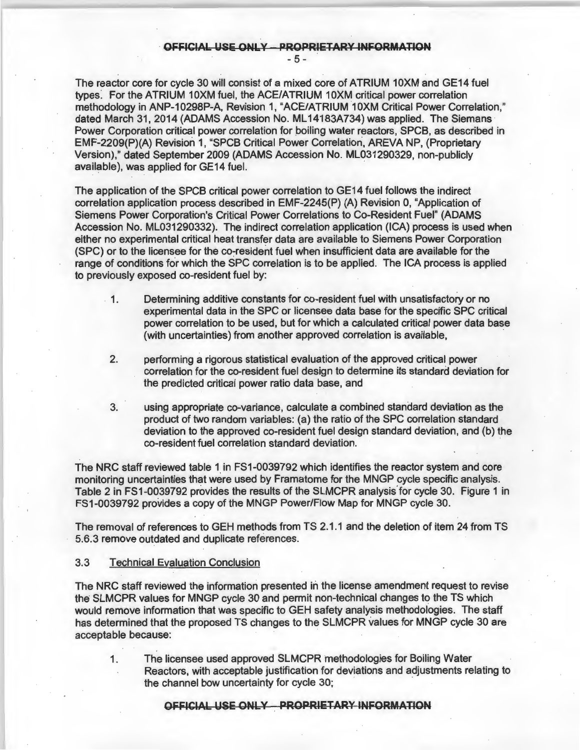$-5 -$ 

The reactor core for cycle 30 will consist of a mixed core of ATRIUM 10XM and GE14 fuel types'. For the ATRIUM 10XM fuel, the ACE/ATRIUM 10XM critical power correlation methodology in ANP-10298P-A, Revision 1, "ACE/ATRIUM 10XM Critical Power Correlation," dated March 31, 2014 (ADAMS Accession No. ML 14183A734) was applied. The Siemans Power Corporation critical power correlation for boiling water reactors, SPCB, as described in EMF-2209(P)(A) Revision 1, "SPCB Critical Power Correlation, AREVA NP, (Proprietary Version)," dated September 2009 (ADAMS Accession No. ML031290329, non-publicly available), was applied for GE14 fuel.

The application of the SPCB critical power correlation to GE14 fuel follows the indirect correlation application process described in EMF-2245(P) (A) Revision 0, "Application of Siemens Power Corporation's Critical Power Correlations to Co-Resident Fuel" (ADAMS Accession No. ML031290332). The indirect correlation application (ICA) process is used when either no experimental critical heat transfer data are available to Siemens Power Corporation (SPC) or to the licensee for the co-resident fuel when insufficient data are available for the range of conditions for which the SPC correlation is to be applied. The ICA process is applied to previously exposed co-resident fuel by:

- 1. Determining additive constants for co-resident fuel with unsatisfactory or no experimental data in the SPC or licensee data base for the specific SPC critical power correlation to be used, but for which a calculated critical power data base (with uncertainties) from another approved correlation is available,
- 2. performing a rigorous statistical evaluation of the approved critical power correlation for the co-resident fuel design to determine its standard deviation for the predicted critical power ratio data base, and
- 3. using appropriate co-variance, calculate a combined standard deviation as the product of two random variables: (a) the ratio of the SPC correlation standard deviation to the approved co-resident fuel design standard deviation, and (b) the co-resident fuel correlation standard deviation.

The NRC staff reviewed table 1 in FS1-0039792 which identifies the reactor system and core monitoring uncertainties that were used by Framatome for the MNGP cycle specific analysis. Table 2 in FS1-0039792 provides the results of the SLMCPR analysis for cycle 30. Figure 1 in FS1-0039792 provides a copy of the MNGP Power/Flow Map for MNGP cycle 30.

The removal of references to GEH methods from TS 2.1.1 and the deletion of item 24 from TS 5.6.3 remove outdated and duplicate references.

### 3.3 Technical Evaluation Conclusion

The NRC staff reviewed the information presented in the license amendment request to revise the SLMCPR values for MNGP cycle 30 and permit non-technical changes to the TS which would remove information that was specific to GEH safety analysis methodologies. The staff has determined that the proposed TS changes to the SLMCPR values for MNGP cycle 30 are acceptable because:

1. The licensee used approved SLMCPR methodologies for Boiling Water Reactors, with acceptable justification for deviations and adjustments relating to the channel bow uncertainty for cycle 30;

## **OFFICIAL USE ONLY - PROPRIETARY INFORMATION**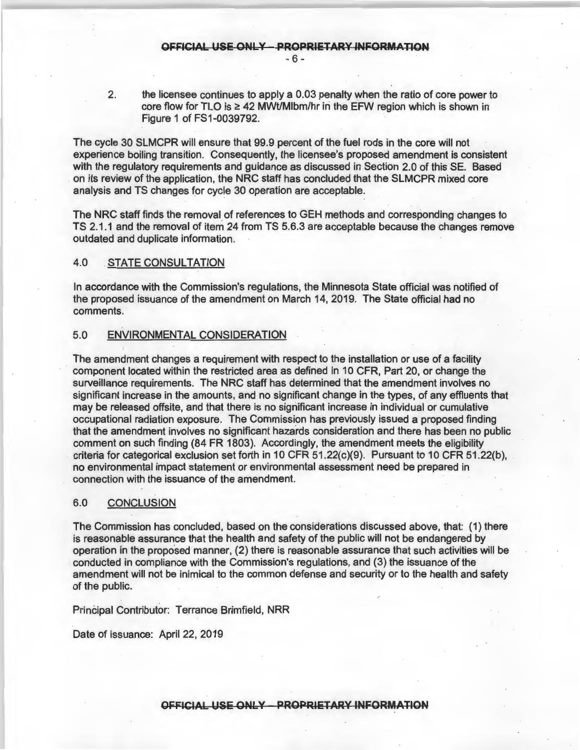2. the licensee continues to apply a 0.03 penalty when the ratio of core power to core flow for TLO is  $\geq$  42 MWt/Mlbm/hr in the EFW region which is shown in Figure 1 of FS1-0039792.

The cycle 30 SLMCPR will ensure that 99.9 percent of the fuel rods in the core will not experience boiling transition. Consequently, the licensee's proposed amendment is consistent with the regulatory requirements and guidance as discussed in Section 2.0 of this SE. Based on its review of the application, the NRC staff has concluded that the SLMCPR mixed core analysis and TS changes for cycle 30 operation are acceptable.

The NRC staff finds the removal of references to GEH methods and corresponding changes to TS 2.1.1 and the removal of item 24 from TS 5.6.3 are acceptable because the changes remove outdated and duplicate information.

## 4.0 STATE CONSULTATION

In accordance with the Commission's regulations, the Minnesota State official was notified of the proposed issuance of the amendment on March 14, 2019. The State official had no comments.

## 5.0 ENVIRONMENTAL CONSIDERATION

The amendment changes a requirement with respect to the installation or use of a facility component located within the restricted area as defined in 10 CFR, Part 20, or change the surveillance requirements. The NRC staff has determined that the amendment involves no significant increase in the amounts, and no significant change in the types, of any effluents that may be released offsite, and that there is no significant increase in individual or cumulative occupational radiation exposure. The Commission has previously issued a proposed finding that the amendment involves no significant hazards consideration and there has been no public comment on such finding (84 FR 1803). Accordingly, the amendment meets the eligibility criteria for categorical exclusion set forth in 10 CFR 51.22(c)(9). Pursuant to 10 CFR 51 .22(b), no environmental impact statement or environmental assessment need be prepared in connection with the issuance of the amendment.

### 6.0 CONCLUSION

The Commission has concluded, based on the considerations discussed above, that: (1) there is reasonable assurance that the health and safety of the public will not be endangered by operation in the proposed manner, (2) there is reasonable assurance that such activities will be conducted in compliance with the Commission's regulations, and (3) the issuance of the amendment will not be inimical to the common defense and security or to the health and safety of the public.

Principal Contributor: Terrance Brimfield, NRR

Date of issuance: April 22, 2019